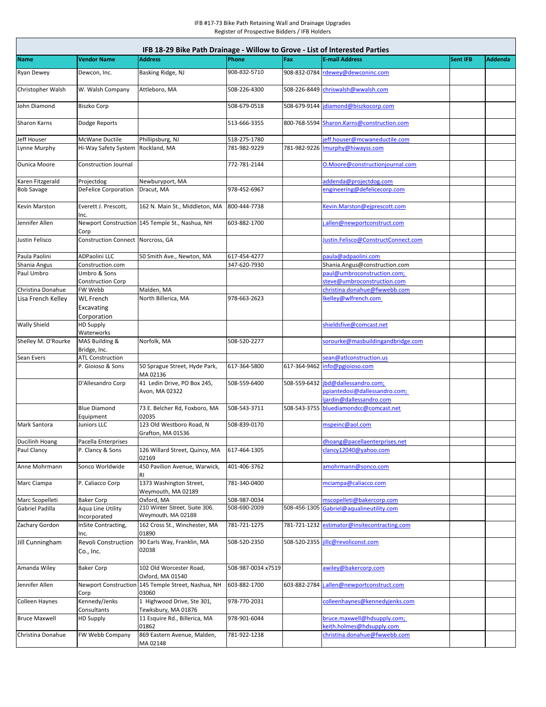| IFB 18-29 Bike Path Drainage - Willow to Grove - List of Interested Parties |                                                      |                                                     |                    |     |                                                                      |                 |                |  |  |  |  |
|-----------------------------------------------------------------------------|------------------------------------------------------|-----------------------------------------------------|--------------------|-----|----------------------------------------------------------------------|-----------------|----------------|--|--|--|--|
| <b>Name</b>                                                                 | <b>Vendor Name</b>                                   | <b>Address</b>                                      | Phone              | Fax | <b>E-mail Address</b>                                                | <b>Sent IFB</b> | <b>Addenda</b> |  |  |  |  |
| <b>Ryan Dewey</b>                                                           | Dewcon, Inc.                                         | Basking Ridge, NJ                                   | 908-832-5710       |     | 908-832-0784 rdewey@dewconinc.com                                    |                 |                |  |  |  |  |
| Christopher Walsh                                                           | W. Walsh Company                                     | Attleboro, MA                                       | 508-226-4300       |     | 508-226-8449 chriswalsh@wwalsh.com                                   |                 |                |  |  |  |  |
| John Diamond                                                                | <b>Biszko Corp</b>                                   |                                                     | 508-679-0518       |     | 508-679-9144 jdiamond@biszkocorp.com                                 |                 |                |  |  |  |  |
| <b>Sharon Karns</b>                                                         | Dodge Reports                                        |                                                     | 513-666-3355       |     | 800-768-5594 Sharon.Karns@construction.com                           |                 |                |  |  |  |  |
| Jeff Houser                                                                 | McWane Ductile                                       | Phillipsburg, NJ                                    | 518-275-1780       |     | jeff.houser@mcwaneductile.com                                        |                 |                |  |  |  |  |
| Lynne Murphy                                                                | Hi-Way Safety System Rockland, MA                    |                                                     | 781-982-9229       |     | 781-982-9226   murphy@hiwayss.com                                    |                 |                |  |  |  |  |
| <b>Ounica Moore</b>                                                         | Construction Journal                                 |                                                     | 772-781-2144       |     | O.Moore@constructionjournal.com                                      |                 |                |  |  |  |  |
| Karen Fitzgerald                                                            | Projectdog                                           | Newburyport, MA                                     |                    |     | addenda@projectdog.com                                               |                 |                |  |  |  |  |
| <b>Bob Savage</b>                                                           | <b>DeFelice Corporation</b>                          | Dracut, MA                                          | 978-452-6967       |     | engineering@defelicecorp.com                                         |                 |                |  |  |  |  |
| <b>Kevin Marston</b>                                                        | Everett J. Prescott,<br>Inc.                         | 162 N. Main St., Middleton, MA                      | 800-444-7738       |     | Kevin.Marston@ejprescott.com                                         |                 |                |  |  |  |  |
| Jennifer Allen                                                              | Corp                                                 | Newport Construction 145 Temple St., Nashua, NH     | 603-882-1700       |     | i.allen@newportconstruct.com                                         |                 |                |  |  |  |  |
| Justin Felisco                                                              | Construction Connect Norcross, GA                    |                                                     |                    |     | Justin.Felisco@ConstructConnect.com                                  |                 |                |  |  |  |  |
| Paula Paolini                                                               | <b>ADPaolini LLC</b>                                 | 50 Smith Ave., Newton, MA                           | 617-454-4277       |     | paula@adpaolini.com                                                  |                 |                |  |  |  |  |
| Shania Angus                                                                | Construction.com                                     |                                                     | 347-620-7930       |     | Shania.Angus@construction.com                                        |                 |                |  |  |  |  |
| Paul Umbro                                                                  | Umbro & Sons<br>Construction Corp                    |                                                     |                    |     | paul@umbroconstruction.com;<br>steve@umbroconstruction.com           |                 |                |  |  |  |  |
| Christina Donahue                                                           | <b>FW Webb</b>                                       | Malden, MA                                          |                    |     | christina.donahue@fwwebb.com                                         |                 |                |  |  |  |  |
| Lisa French Kelley                                                          | <b>WL</b> French<br><b>Excavating</b><br>Corporation | North Billerica, MA                                 | 978-663-2623       |     | lkelley@wlfrench.com                                                 |                 |                |  |  |  |  |
| <b>Wally Shield</b>                                                         | <b>HD Supply</b><br>Waterworks                       |                                                     |                    |     | shieldsfive@comcast.net                                              |                 |                |  |  |  |  |
| Shelley M. O'Rourke                                                         | MAS Building &<br>Bridge, Inc.                       | Norfolk, MA                                         | 508-520-2277       |     | sorourke@masbuildingandbridge.com                                    |                 |                |  |  |  |  |
| Sean Evers                                                                  | <b>ATL Construction</b>                              |                                                     |                    |     | sean@atlconstruction.us                                              |                 |                |  |  |  |  |
|                                                                             | P. Gioioso & Sons                                    | 50 Sprague Street, Hyde Park,<br>MA 02136           | 617-364-5800       |     | 617-364-9462 info@pgioioso.com                                       |                 |                |  |  |  |  |
|                                                                             | D'Allesandro Corp                                    | 41 Ledin Drive, PO Box 245,<br>Avon, MA 02322       | 508-559-6400       |     | 508-559-6432  jbd@dallessandro.com;<br>ppiantedosi@dallessandro.com; |                 |                |  |  |  |  |
|                                                                             | <b>Blue Diamond</b>                                  | 73 E. Belcher Rd, Foxboro, MA                       | 508-543-3711       |     | ijardin@dallessandro.com<br>508-543-3755 bluediamondcc@comcast.net   |                 |                |  |  |  |  |
| <b>Mark Santora</b>                                                         | Equipment<br>Juniors LLC                             | 02035<br>123 Old Westboro Road, N                   | 508-839-0170       |     | mspeinc@aol.com                                                      |                 |                |  |  |  |  |
| Ducilinh Hoang                                                              | Pacella Enterprises                                  | Grafton, MA 01536                                   |                    |     | dhoang@pacellaenterprises.net                                        |                 |                |  |  |  |  |
| Paul Clancy                                                                 | P. Clancy & Sons                                     | 126 Willard Street, Quincy, MA<br>02169             | 617-464-1305       |     | clancy12040@yahoo.com                                                |                 |                |  |  |  |  |
| Anne Mohrmann                                                               | Sonco Worldwide                                      | 450 Pavilion Avenue, Warwick,<br>RI.                | 401-406-3762       |     | amohrmann@sonco.com                                                  |                 |                |  |  |  |  |
| Marc Ciampa                                                                 | P. Caliacco Corp                                     | 1373 Washington Street,<br>Weymouth, MA 02189       | 781-340-0400       |     | mciampa@caliacco.com                                                 |                 |                |  |  |  |  |
| Marc Scopelleti                                                             | <b>Baker Corp</b>                                    | Oxford, MA                                          | 508-987-0034       |     | mscopelleti@bakercorp.com                                            |                 |                |  |  |  |  |
| Gabriel Padilla                                                             | Aqua Line Utility<br>Incorporated                    | 210 Winter Street, Suite 306,<br>Weymouth, MA 02188 | 508-690-2009       |     | 508-456-1305 Gabriel@aqualineutility.com                             |                 |                |  |  |  |  |
| Zachary Gordon                                                              | InSite Contracting,<br>llnc.                         | 162 Cross St., Winchester, MA<br>01890              | 781-721-1275       |     | 781-721-1232 estimator@insitecontracting.com                         |                 |                |  |  |  |  |
| Jill Cunningham                                                             | <b>Revoli Construction</b><br>Co., Inc.              | 90 Earls Way, Franklin, MA<br>02038                 | 508-520-2350       |     | 508-520-2355 jillc@revoliconst.com                                   |                 |                |  |  |  |  |
| Amanda Wiley                                                                | <b>Baker Corp</b>                                    | 102 Old Worcester Road,<br>Oxford, MA 01540         | 508-987-0034 x7519 |     | awiley@bakercorp.com                                                 |                 |                |  |  |  |  |
| Jennifer Allen                                                              | <b>Newport Construction</b><br>Corp                  | 145 Temple Street, Nashua, NH<br>03060              | 603-882-1700       |     | 603-882-2784   j.allen@newportconstruct.com                          |                 |                |  |  |  |  |
| <b>Colleen Haynes</b>                                                       | Kennedy/Jenks<br>Consultants                         | 1 Highwood Drive, Ste 301,<br>Tewksbury, MA 01876   | 978-770-2031       |     | colleenhaynes@kennedyjenks.com                                       |                 |                |  |  |  |  |
| <b>Bruce Maxwell</b>                                                        | <b>HD Supply</b>                                     | 11 Esquire Rd., Billerica, MA<br>01862              | 978-901-6044       |     | bruce.maxwell@hdsupply.com;<br>keith.holmes@hdsupply.com             |                 |                |  |  |  |  |
| Christina Donahue                                                           | <b>FW Webb Company</b>                               | 869 Eastern Avenue, Malden,<br>MA 02148             | 781-922-1238       |     | christina.donahue@fwwebb.com                                         |                 |                |  |  |  |  |